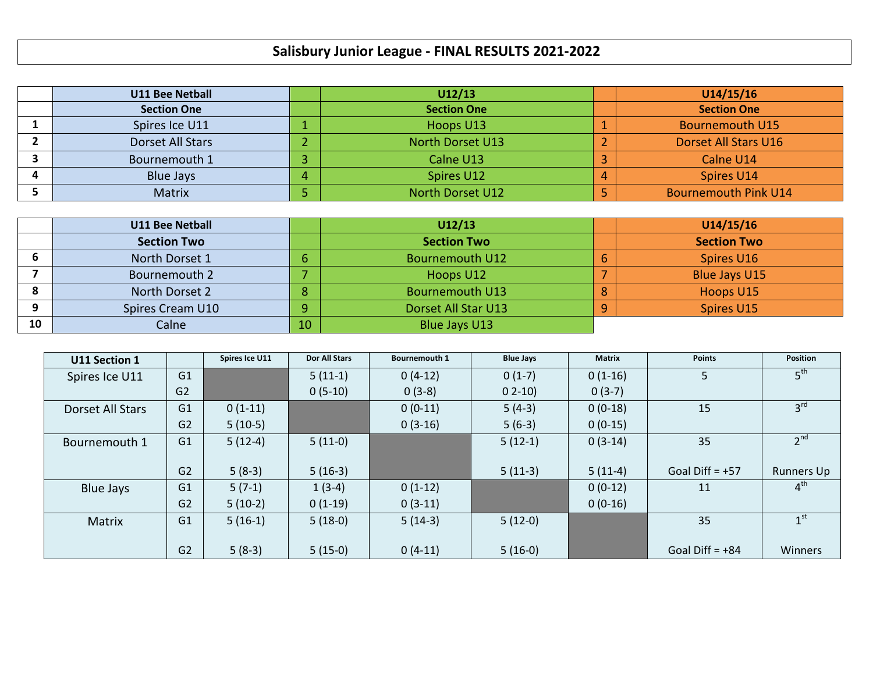## **Salisbury Junior League - FINAL RESULTS 2021-2022**

| <b>U11 Bee Netball</b> | U12/13 |                         |  | U14/15/16                   |
|------------------------|--------|-------------------------|--|-----------------------------|
| <b>Section One</b>     |        | <b>Section One</b>      |  | <b>Section One</b>          |
| Spires Ice U11         |        | Hoops U13               |  | <b>Bournemouth U15</b>      |
| Dorset All Stars       |        | <b>North Dorset U13</b> |  | Dorset All Stars U16        |
| Bournemouth 1          |        | Calne U13               |  | Calne U14                   |
| <b>Blue Jays</b>       |        | Spires U12              |  | Spires U14                  |
| <b>Matrix</b>          |        | North Dorset U12        |  | <b>Bournemouth Pink U14</b> |

|        | <b>U11 Bee Netball</b> |    | U12/13                 |   | U14/15/16            |
|--------|------------------------|----|------------------------|---|----------------------|
|        | <b>Section Two</b>     |    | <b>Section Two</b>     |   | <b>Section Two</b>   |
| D      | North Dorset 1         |    | <b>Bournemouth U12</b> | ь | Spires U16           |
|        | Bournemouth 2          |    | Hoops U12              |   | <b>Blue Jays U15</b> |
| О<br>ο | North Dorset 2         | 8  | <b>Bournemouth U13</b> | 8 | Hoops U15            |
| Ω      | Spires Cream U10       | a. | Dorset All Star U13    | Q | Spires U15           |
| 10     | Calne                  | 10 | Blue Jays U13          |   |                      |

| U11 Section 1    |                | Spires Ice U11 | <b>Dor All Stars</b> | <b>Bournemouth 1</b> | <b>Blue Jays</b> | <b>Matrix</b> | <b>Points</b>     | Position          |
|------------------|----------------|----------------|----------------------|----------------------|------------------|---------------|-------------------|-------------------|
| Spires Ice U11   | G1             |                | $5(11-1)$            | $0(4-12)$            | $0(1-7)$         | $0(1-16)$     | 5                 | 5 <sup>th</sup>   |
|                  | G <sub>2</sub> |                | $0(5-10)$            | $0(3-8)$             | $02-10$          | $0(3-7)$      |                   |                   |
| Dorset All Stars | G1             | $0(1-11)$      |                      | $0(0-11)$            | $5(4-3)$         | $0(0-18)$     | 15                | 3 <sup>rd</sup>   |
|                  | G2             | $5(10-5)$      |                      | $0(3-16)$            | $5(6-3)$         | $0(0-15)$     |                   |                   |
| Bournemouth 1    | G1             | $5(12-4)$      | $5(11-0)$            |                      | $5(12-1)$        | $0(3-14)$     | 35                | 2 <sup>nd</sup>   |
|                  |                |                |                      |                      |                  |               |                   |                   |
|                  | G <sub>2</sub> | $5(8-3)$       | $5(16-3)$            |                      | $5(11-3)$        | $5(11-4)$     | Goal Diff = $+57$ | <b>Runners Up</b> |
| <b>Blue Jays</b> | G <sub>1</sub> | $5(7-1)$       | $1(3-4)$             | $0(1-12)$            |                  | $0(0-12)$     | 11                | 4 <sup>th</sup>   |
|                  | G <sub>2</sub> | $5(10-2)$      | $0(1-19)$            | $0(3-11)$            |                  | $0(0-16)$     |                   |                   |
| <b>Matrix</b>    | G1             | $5(16-1)$      | $5(18-0)$            | $5(14-3)$            | $5(12-0)$        |               | 35                | 1 <sup>st</sup>   |
|                  |                |                |                      |                      |                  |               |                   |                   |
|                  | G <sub>2</sub> | $5(8-3)$       | $5(15-0)$            | $0(4-11)$            | $5(16-0)$        |               | Goal Diff = $+84$ | Winners           |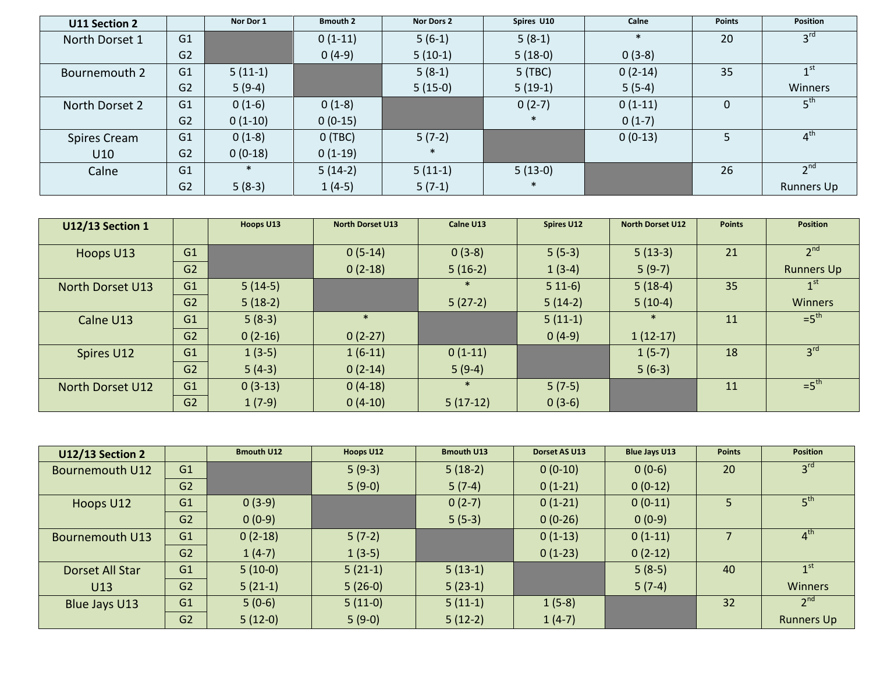| U11 Section 2  |                | Nor Dor 1 | <b>Bmouth 2</b> | Nor Dors 2 | Spires U10 | Calne     | <b>Points</b> | <b>Position</b>   |
|----------------|----------------|-----------|-----------------|------------|------------|-----------|---------------|-------------------|
| North Dorset 1 | G <sub>1</sub> |           | $0(1-11)$       | $5(6-1)$   | $5(8-1)$   |           | 20            | 3 <sup>rd</sup>   |
|                | G <sub>2</sub> |           | $0(4-9)$        | $5(10-1)$  | $5(18-0)$  | $0(3-8)$  |               |                   |
| Bournemouth 2  | G1             | $5(11-1)$ |                 | $5(8-1)$   | 5 (TBC)    | $0(2-14)$ | 35            | 1 <sup>st</sup>   |
|                | G <sub>2</sub> | $5(9-4)$  |                 | $5(15-0)$  | $5(19-1)$  | $5(5-4)$  |               | Winners           |
| North Dorset 2 | G <sub>1</sub> | $0(1-6)$  | $0(1-8)$        |            | $0(2-7)$   | $0(1-11)$ |               | 5 <sup>th</sup>   |
|                | G <sub>2</sub> | $0(1-10)$ | $0(0-15)$       |            |            | $0(1-7)$  |               |                   |
| Spires Cream   | G1             | $0(1-8)$  | O(TBC)          | $5(7-2)$   |            | $0(0-13)$ |               | 4 <sup>tn</sup>   |
| U10            | G <sub>2</sub> | $0(0-18)$ | $0(1-19)$       |            |            |           |               |                   |
| Calne          | G <sub>1</sub> |           | $5(14-2)$       | $5(11-1)$  | $5(13-0)$  |           | 26            | 2 <sup>nd</sup>   |
|                | G <sub>2</sub> | $5(8-3)$  | $1(4-5)$        | $5(7-1)$   |            |           |               | <b>Runners Up</b> |

| <b>U12/13 Section 1</b> |                | Hoops U13 | <b>North Dorset U13</b> | Calne U13  | Spires U12 | <b>North Dorset U12</b> | <b>Points</b> | <b>Position</b>   |
|-------------------------|----------------|-----------|-------------------------|------------|------------|-------------------------|---------------|-------------------|
|                         |                |           |                         |            |            |                         |               |                   |
| Hoops U13               | G <sub>1</sub> |           | $0(5-14)$               | $0(3-8)$   | $5(5-3)$   | $5(13-3)$               | 21            | 2 <sup>nd</sup>   |
|                         | G <sub>2</sub> |           | $0(2-18)$               | $5(16-2)$  | $1(3-4)$   | $5(9-7)$                |               | <b>Runners Up</b> |
| North Dorset U13        | G1             | $5(14-5)$ |                         |            | $511-6$    | $5(18-4)$               | 35            | $\sim$ 150        |
|                         | G <sub>2</sub> | $5(18-2)$ |                         | $5(27-2)$  | $5(14-2)$  | $5(10-4)$               |               | Winners           |
| Calne U13               | G1             | $5(8-3)$  |                         |            | $5(11-1)$  |                         | 11            | $=5^{\text{th}}$  |
|                         | G <sub>2</sub> | $0(2-16)$ | $0(2-27)$               |            | $0(4-9)$   | $1(12-17)$              |               |                   |
| Spires U12              | G1             | $1(3-5)$  | $1(6-11)$               | $0(1-11)$  |            | $1(5-7)$                | 18            | 3 <sup>rd</sup>   |
|                         | G2             | $5(4-3)$  | $0(2-14)$               | $5(9-4)$   |            | $5(6-3)$                |               |                   |
| North Dorset U12        | G1             | $0(3-13)$ | $0(4-18)$               |            | $5(7-5)$   |                         | 11            | $=5^{\text{th}}$  |
|                         | G <sub>2</sub> | $1(7-9)$  | $0(4-10)$               | $5(17-12)$ | $0(3-6)$   |                         |               |                   |

| <b>U12/13 Section 2</b> |                | <b>Bmouth U12</b> | Hoops U12 | <b>Bmouth U13</b> | Dorset AS U13 | <b>Blue Jays U13</b> | <b>Points</b> | <b>Position</b>   |
|-------------------------|----------------|-------------------|-----------|-------------------|---------------|----------------------|---------------|-------------------|
| <b>Bournemouth U12</b>  | G1             |                   | $5(9-3)$  | $5(18-2)$         | $0(0-10)$     | $0(0-6)$             | 20            | 3 <sup>rd</sup>   |
|                         | G <sub>2</sub> |                   | $5(9-0)$  | $5(7-4)$          | $0(1-21)$     | $0(0-12)$            |               |                   |
| Hoops U12               | G1             | $0(3-9)$          |           | $0(2-7)$          | $0(1-21)$     | $0(0-11)$            |               | $5^{\text{th}}$   |
|                         | G <sub>2</sub> | $0(0-9)$          |           | $5(5-3)$          | $0(0-26)$     | $0(0-9)$             |               |                   |
| <b>Bournemouth U13</b>  | G1             | $0(2-18)$         | $5(7-2)$  |                   | $0(1-13)$     | $0(1-11)$            |               | 4 <sup>th</sup>   |
|                         | G <sub>2</sub> | $1(4-7)$          | $1(3-5)$  |                   | $0(1-23)$     | $0(2-12)$            |               |                   |
| Dorset All Star         | G1             | $5(10-0)$         | $5(21-1)$ | $5(13-1)$         |               | $5(8-5)$             | 40            | 1 <sup>st</sup>   |
| U13                     | G <sub>2</sub> | $5(21-1)$         | $5(26-0)$ | $5(23-1)$         |               | $5(7-4)$             |               | <b>Winners</b>    |
| Blue Jays U13           | G1             | $5(0-6)$          | $5(11-0)$ | $5(11-1)$         | $1(5-8)$      |                      | 32            | 2 <sup>nd</sup>   |
|                         | G <sub>2</sub> | $5(12-0)$         | $5(9-0)$  | $5(12-2)$         | $1(4-7)$      |                      |               | <b>Runners Up</b> |